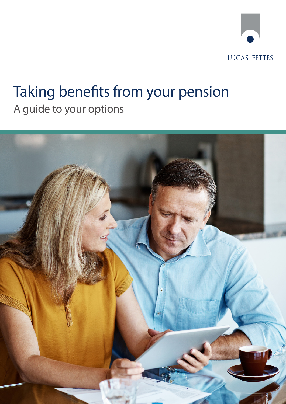

# Taking benefits from your pension A guide to your options

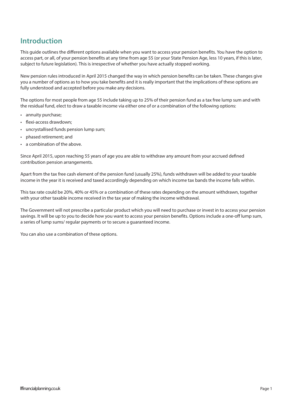## **Introduction**

This guide outlines the different options available when you want to access your pension benefits. You have the option to access part, or all, of your pension benefits at any time from age 55 (or your State Pension Age, less 10 years, if this is later, subject to future legislation). This is irrespective of whether you have actually stopped working.

New pension rules introduced in April 2015 changed the way in which pension benefits can be taken. These changes give you a number of options as to how you take benefits and it is really important that the implications of these options are fully understood and accepted before you make any decisions.

The options for most people from age 55 include taking up to 25% of their pension fund as a tax free lump sum and with the residual fund, elect to draw a taxable income via either one of or a combination of the following options:

- annuity purchase;
- flexi-access drawdown;
- uncrystallised funds pension lump sum;
- phased retirement; and
- a combination of the above.

Since April 2015, upon reaching 55 years of age you are able to withdraw any amount from your accrued defined contribution pension arrangements.

Apart from the tax free cash element of the pension fund (usually 25%), funds withdrawn will be added to your taxable income in the year it is received and taxed accordingly depending on which income tax bands the income falls within.

This tax rate could be 20%, 40% or 45% or a combination of these rates depending on the amount withdrawn, together with your other taxable income received in the tax year of making the income withdrawal.

The Government will not prescribe a particular product which you will need to purchase or invest in to access your pension savings. It will be up to you to decide how you want to access your pension benefits. Options include a one-off lump sum, a series of lump sums/ regular payments or to secure a guaranteed income.

You can also use a combination of these options.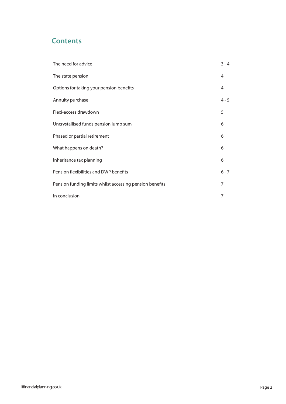# **Contents**

| The need for advice                                      | $3 - 4$ |
|----------------------------------------------------------|---------|
| The state pension                                        | 4       |
| Options for taking your pension benefits                 | 4       |
| Annuity purchase                                         | $4 - 5$ |
| Flexi-access drawdown                                    | 5       |
| Uncrystallised funds pension lump sum                    | 6       |
| Phased or partial retirement                             | 6       |
| What happens on death?                                   | 6       |
| Inheritance tax planning                                 | 6       |
| Pension flexibilities and DWP benefits                   | $6 - 7$ |
| Pension funding limits whilst accessing pension benefits | 7       |
| In conclusion                                            | 7       |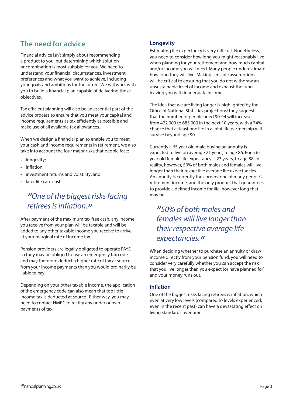# **The need for advice**

Financial advice isn't simply about recommending a product to you, but determining which solution or combination is most suitable for you. We need to understand your financial circumstances, investment preferences and what you want to achieve, including your goals and ambitions for the future. We will work with you to build a financial plan capable of delivering those objectives.

Tax efficient planning will also be an essential part of the advice process to ensure that you meet your capital and income requirements as tax efficiently as possible and make use of all available tax allowances.

When we design a financial plan to enable you to meet your cash and income requirements in retirement, we also take into account the four major risks that people face:

- longevity;
- inflation;
- investment returns and volatility; and
- later life care costs.

# *"One of the biggest risks facing retirees is inflation."*

After payment of the maximum tax free cash, any income you receive from your plan will be taxable and will be added to any other taxable income you receive to arrive at your marginal rate of income tax.

Pension providers are legally obligated to operate PAYE, so they may be obliged to use an emergency tax code and may therefore deduct a higher rate of tax at source from your income payments than you would ordinarily be liable to pay.

Depending on your other taxable income, the application of the emergency code can also mean that too little income tax is deducted at source. Either way, you may need to contact HMRC to rectify any under or over payments of tax.

#### **Longevity**

Estimating life expectancy is very difficult. Nonetheless, you need to consider how long you might reasonably live when planning for your retirement and how much capital and/or income you will need. Many people underestimate how long they will live. Making sensible assumptions will be critical to ensuring that you do not withdraw an unsustainable level of income and exhaust the fund, leaving you with inadequate income.

The idea that we are living longer is highlighted by the Office of National Statistics projections; they suggest that the number of people aged 90-94 will increase from 472,000 to 685,000 in the next 10 years, with a 74% chance that at least one life in a joint life partnership will survive beyond age 90.

Currently a 65 year old male buying an annuity is expected to live on average 21 years, to age 86. For a 65 year old female life expectancy is 23 years, to age 88. In reality, however, 50% of both males and females will live longer than their respective average life expectancies. An annuity is currently the cornerstone of many people's retirement income, and the only product that guarantees to provide a defined income for life, however long that may be.

*"50% of both males and females will live longer than their respective average life expectancies."*

When deciding whether to purchase an annuity or draw income directly from your pension fund, you will need to consider very carefully whether you can accept the risk that you live longer than you expect (or have planned for) and your money runs out.

#### **Inflation**

One of the biggest risks facing retirees is inflation, which even at very low levels (compared to levels experienced, even in the recent past) can have a devastating effect on living standards over time.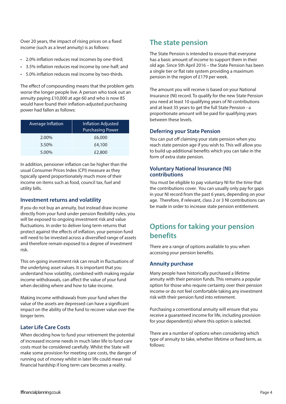Over 20 years, the impact of rising prices on a fixed income (such as a level annuity) is as follows:

- 2.0% inflation reduces real incomes by one-third;
- 3.5% inflation reduces real income by one-half; and
- 5.0% inflation reduces real income by two-thirds.

The effect of compounding means that the problem gets worse the longer people live. A person who took out an annuity paying £10,000 at age 60 and who is now 85 would have found their inflation-adjusted purchasing power had fallen as follows:

| Average Inflation | Inflation Adjusted<br><b>Purchasing Power</b> |
|-------------------|-----------------------------------------------|
| 2.00%             | £6,000                                        |
| 3.50%             | £4,100                                        |
| 5.00%             | £2,800                                        |

In addition, pensioner inflation can be higher than the usual Consumer Prices Index (CPI) measure as they typically spend proportionately much more of their income on items such as food, council tax, fuel and utility bills.

#### **Investment returns and volatility**

If you do not buy an annuity, but instead draw income directly from your fund under pension flexibility rules, you will be exposed to ongoing investment risk and value fluctuations. In order to deliver long term returns that protect against the effects of inflation, your pension fund will need to be invested across a diversified range of assets and therefore remain exposed to a degree of investment risk.

This on-going investment risk can result in fluctuations of the underlying asset values. It is important that you understand how volatility, combined with making regular income withdrawals, can affect the value of your fund when deciding where and how to take income.

Making income withdrawals from your fund when the value of the assets are depressed can have a significant impact on the ability of the fund to recover value over the longer term.

#### **Later Life Care Costs**

When deciding how to fund your retirement the potential of increased income needs in much later life to fund care costs must be considered carefully. Whilst the State will make some provision for meeting care costs, the danger of running out of money whilst in later life could mean real financial hardship if long term care becomes a reality.

### **The state pension**

The State Pension is intended to ensure that everyone has a basic amount of income to support them in their old age. Since 5th April 2016 – the State Pension has been a single tier or flat rate system providing a maximum pension in the region of £179 per week.

The amount you will receive is based on your National Insurance (NI) record. To qualify for the new State Pension you need at least 10 qualifying years of NI contributions and at least 35 years to get the full State Pension - a proportionate amount will be paid for qualifying years between these levels.

#### **Deferring your State Pension**

You can put off claiming your state pension when you reach state pension age if you wish to. This will allow you to build up additional benefits which you can take in the form of extra state pension.

#### **Voluntary National Insurance (NI) contributions**

You must be eligible to pay voluntary NI for the time that the contributions cover. You can usually only pay for gaps in your NI record from the past 6 years, depending on your age. Therefore, if relevant, class 2 or 3 NI contributions can be made in order to increase state pension entitlement.

### **Options for taking your pension benefits**

There are a range of options available to you when accessing your pension benefits.

#### **Annuity purchase**

Many people have historically purchased a lifetime annuity with their pension funds. This remains a popular option for those who require certainty over their pension income or do not feel comfortable taking any investment risk with their pension fund into retirement.

Purchasing a conventional annuity will ensure that you receive a guaranteed income for life, including provision for your dependent(s) where this option is selected.

There are a number of options when considering which type of annuity to take, whether lifetime or fixed term, as follows: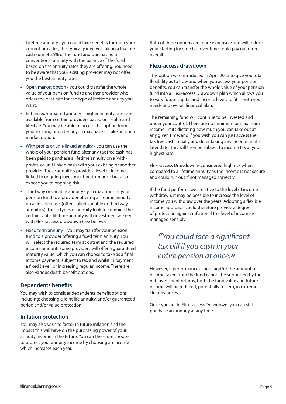- Lifetime annuity you could take benefits through your current provider, this typically involves taking a tax free cash sum of 25% of the fund and purchasing a conventional annuity with the balance of the fund based on the annuity rates they are offering. You need to be aware that your existing provider may not offer you the best annuity rates.
- Open market option you could transfer the whole value of your pension fund to another provider who offers the best rate for the type of lifetime annuity you want.
- Enhanced/impaired annuity higher annuity rates are available from certain providers based on health and lifestyle. You may be able to access this option from your existing provider or you may have to take an open market option.
- With profits or unit-linked annuity you can use the whole of your pension fund after any tax free cash has been paid to purchase a lifetime annuity on a 'withprofits' or unit linked basis with your existing or another provider. These annuities provide a level of income linked to ongoing investment performance but also expose you to ongoing risk.
- Third way or variable annuity you may transfer your pension fund to a provider offering a lifetime annuity on a flexible basis (often called variable or third way annuities). These types of annuity look to combine the certainty of a lifetime annuity with investment as seen with Flexi-access drawdown (see below).
- Fixed term annuity you may transfer your pension fund to a provider offering a fixed term annuity. You will select the required term at outset and the required income amount. Some providers will offer a guaranteed maturity value, which you can choose to take as a final income payment, subject to tax and whilst in payment a fixed (level) or increasing regular income. There are also various death benefit options.

#### **Dependents benefits**

You may wish to consider dependents benefit options including; choosing a joint life annuity, and/or guaranteed period and/or value protection.

#### **Inflation protection**

You may also wish to factor in future inflation and the impact this will have on the purchasing power of your annuity income in the future. You can therefore choose to protect your annuity income by choosing an income which increases each year.

Both of these options are more expensive and will reduce your starting income but over time could pay out more overall.

#### **Flexi-access drawdown**

This option was introduced in April 2015 to give you total flexibility as to how and when you access your pension benefits. You can transfer the whole value of your pension fund into a Flexi-access Drawdown plan which allows you to vary future capital and income levels to fit in with your needs and overall financial plan.

The remaining fund will continue to be invested and under your control. There are no minimum or maximum income limits dictating how much you can take out at any given time; and if you wish you can just access the tax free cash initially and defer taking any income until a later date. This will then be subject to income tax at your highest rate.

Flexi-access Drawdown is considered high risk when compared to a lifetime annuity as the income is not secure and could run out if not managed correctly.

If the fund performs well relative to the level of income withdrawn, it may be possible to increase the level of income you withdraw over the years. Adopting a flexible income approach could therefore provide a degree of protection against inflation if the level of income is managed sensibly.

# *"You could face a significant tax bill if you cash in your entire pension at once."*

However, if performance is poor and/or the amount of income taken from the fund cannot be supported by the net investment returns, both the fund value and future income will be reduced, potentially to zero, in extreme circumstances.

Once you are in Flexi-access Drawdown, you can still purchase an annuity at any time.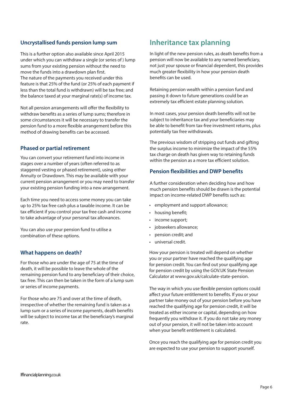#### **Uncrystallised funds pension lump sum**

This is a further option also available since April 2015 under which you can withdraw a single (or series of ) lump sums from your existing pension without the need to move the funds into a drawdown plan first. The nature of the payments you received under this feature is that 25% of the fund (or 25% of each payment if less than the total fund is withdrawn) will be tax free; and the balance taxed at your marginal rate(s) of income tax.

Not all pension arrangements will offer the flexibility to withdraw benefits as a series of lump sums; therefore in some circumstances it will be necessary to transfer the pension fund to a more flexible arrangement before this method of drawing benefits can be accessed.

#### **Phased or partial retirement**

You can convert your retirement fund into income in stages over a number of years (often referred to as staggered vesting or phased retirement), using either Annuity or Drawdown. This may be available with your current pension arrangement or you may need to transfer your existing pension funding into a new arrangement.

Each time you need to access some money you can take up to 25% tax free cash plus a taxable income. It can be tax efficient if you control your tax free cash and income to take advantage of your personal tax allowances.

You can also use your pension fund to utilise a combination of these options.

#### **What happens on death?**

For those who are under the age of 75 at the time of death, it will be possible to leave the whole of the remaining pension fund to any beneficiary of their choice, tax free. This can then be taken in the form of a lump sum or series of income payments.

For those who are 75 and over at the time of death, irrespective of whether the remaining fund is taken as a lump sum or a series of income payments, death benefits will be subject to income tax at the beneficiary's marginal rate.

### **Inheritance tax planning**

In light of the new pension rules, as death benefits from a pension will now be available to any named beneficiary, not just your spouse or financial dependent, this provides much greater flexibility in how your pension death benefits can be used.

Retaining pension wealth within a pension fund and passing it down to future generations could be an extremely tax efficient estate planning solution.

In most cases, your pension death benefits will not be subject to inheritance tax and your beneficiaries may be able to benefit from tax-free investment returns, plus potentially tax free withdrawals.

The previous wisdom of stripping out funds and gifting the surplus income to minimize the impact of the 55% tax charge on death has given way to retaining funds within the pension as a more tax efficient solution.

#### **Pension flexibilities and DWP benefits**

A further consideration when deciding how and how much pension benefits should be drawn is the potential impact on income-related DWP benefits such as:

- employment and support allowance;
- housing benefit;
- income support;
- jobseekers allowance;
- pension credit; and
- universal credit.

How your pension is treated will depend on whether you or your partner have reached the qualifying age for pension credit. You can find out your qualifying age for pension credit by using the GOV.UK State Pension Calculator at www.gov.uk/calculate-state-pension.

The way in which you use flexible pension options could affect your future entitlement to benefits. If you or your partner take money out of your pension before you have reached the qualifying age for pension credit, it will be treated as either income or capital, depending on how frequently you withdraw it. If you do not take any money out of your pension, it will not be taken into account when your benefit entitlement is calculated.

Once you reach the qualifying age for pension credit you are expected to use your pension to support yourself.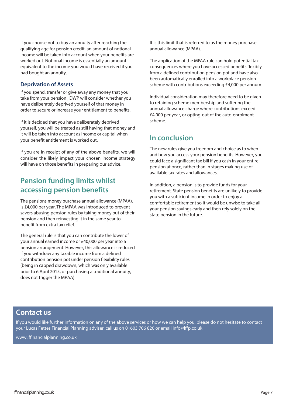If you choose not to buy an annuity after reaching the qualifying age for pension credit, an amount of notional income will be taken into account when your benefits are worked out. Notional income is essentially an amount equivalent to the income you would have received if you had bought an annuity.

#### **Deprivation of Assets**

If you spend, transfer or give away any money that you take from your pension , DWP will consider whether you have deliberately deprived yourself of that money in order to secure or increase your entitlement to benefits.

If it is decided that you have deliberately deprived yourself, you will be treated as still having that money and it will be taken into account as income or capital when your benefit entitlement is worked out.

If you are in receipt of any of the above benefits, we will consider the likely impact your chosen income strategy will have on those benefits in preparing our advice.

### **Pension funding limits whilst accessing pension benefits**

The pensions money purchase annual allowance (MPAA), is £4,000 per year. The MPAA was introduced to prevent savers abusing pension rules by taking money out of their pension and then reinvesting it in the same year to benefit from extra tax relief.

The general rule is that you can contribute the lower of your annual earned income or £40,000 per year into a pension arrangement. However, this allowance is reduced if you withdraw any taxable income from a defined contribution pension pot under pension flexibility rules (being in capped drawdown, which was only available prior to 6 April 2015, or purchasing a traditional annuity, does not trigger the MPAA).

It is this limit that is referred to as the money purchase annual allowance (MPAA).

The application of the MPAA rule can hold potential tax consequences where you have accessed benefits flexibly from a defined contribution pension pot and have also been automatically enrolled into a workplace pension scheme with contributions exceeding £4,000 per annum.

Individual consideration may therefore need to be given to retaining scheme membership and suffering the annual allowance charge where contributions exceed £4,000 per year, or opting-out of the auto-enrolment scheme.

### **In conclusion**

The new rules give you freedom and choice as to when and how you access your pension benefits. However, you could face a significant tax bill if you cash in your entire pension at once, rather than in stages making use of available tax rates and allowances.

In addition, a pension is to provide funds for your retirement. State pension benefits are unlikely to provide you with a sufficient income in order to enjoy a comfortable retirement so it would be unwise to take all your pension savings early and then rely solely on the state pension in the future.

### **Contact us**

If you would like further information on any of the above services or how we can help you, please do not hesitate to contact your Lucas Fettes Financial Planning adviser, call us on 01603 706 820 or email info@lffp.co.uk

www.lffinancialplanning.co.uk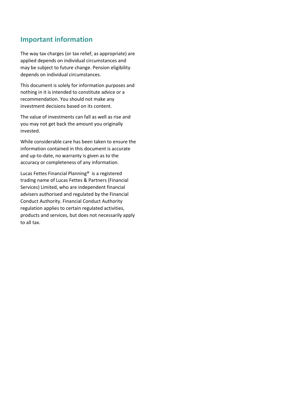### **Important information**

The way tax charges (or tax relief, as appropriate) are applied depends on individual circumstances and may be subject to future change. Pension eligibility depends on individual circumstances.

This document is solely for information purposes and nothing in it is intended to constitute advice or a recommendation. You should not make any investment decisions based on its content.

The value of investments can fall as well as rise and you may not get back the amount you originally invested.

While considerable care has been taken to ensure the information contained in this document is accurate and up-to-date, no warranty is given as to the accuracy or completeness of any information.

Lucas Fettes Financial Planning® is a registered trading name of Lucas Fettes & Partners (Financial Services) Limited, who are independent financial advisers authorised and regulated by the Financial Conduct Authority. Financial Conduct Authority regulation applies to certain regulated activities, products and services, but does not necessarily apply to all tax.